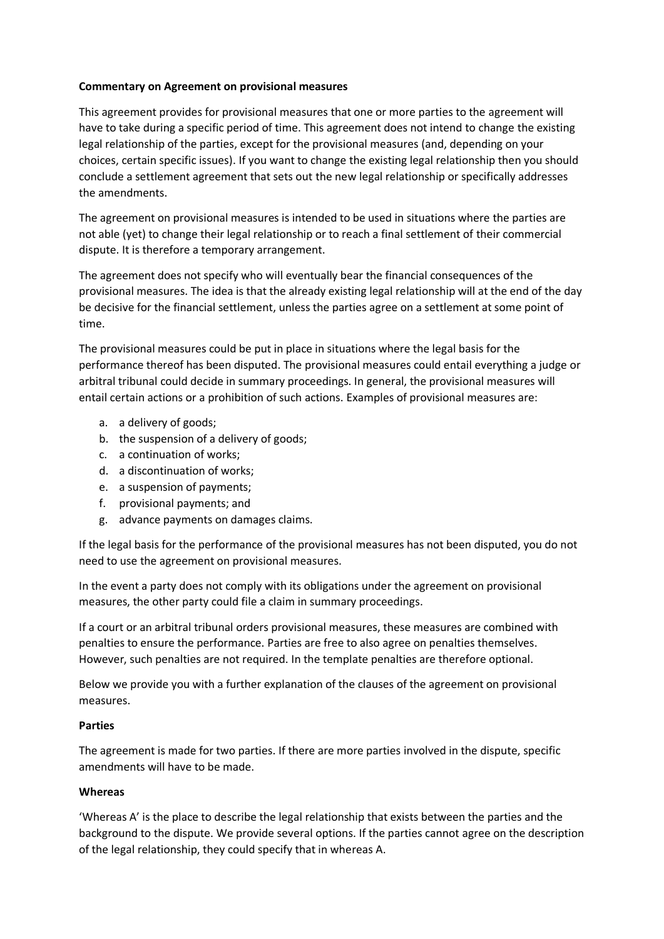### **Commentary on Agreement on provisional measures**

This agreement provides for provisional measures that one or more parties to the agreement will have to take during a specific period of time. This agreement does not intend to change the existing legal relationship of the parties, except for the provisional measures (and, depending on your choices, certain specific issues). If you want to change the existing legal relationship then you should conclude a settlement agreement that sets out the new legal relationship or specifically addresses the amendments.

The agreement on provisional measures is intended to be used in situations where the parties are not able (yet) to change their legal relationship or to reach a final settlement of their commercial dispute. It is therefore a temporary arrangement.

The agreement does not specify who will eventually bear the financial consequences of the provisional measures. The idea is that the already existing legal relationship will at the end of the day be decisive for the financial settlement, unless the parties agree on a settlement at some point of time.

The provisional measures could be put in place in situations where the legal basis for the performance thereof has been disputed. The provisional measures could entail everything a judge or arbitral tribunal could decide in summary proceedings. In general, the provisional measures will entail certain actions or a prohibition of such actions. Examples of provisional measures are:

- a. a delivery of goods;
- b. the suspension of a delivery of goods;
- c. a continuation of works;
- d. a discontinuation of works;
- e. a suspension of payments;
- f. provisional payments; and
- g. advance payments on damages claims.

If the legal basis for the performance of the provisional measures has not been disputed, you do not need to use the agreement on provisional measures.

In the event a party does not comply with its obligations under the agreement on provisional measures, the other party could file a claim in summary proceedings.

If a court or an arbitral tribunal orders provisional measures, these measures are combined with penalties to ensure the performance. Parties are free to also agree on penalties themselves. However, such penalties are not required. In the template penalties are therefore optional.

Below we provide you with a further explanation of the clauses of the agreement on provisional measures.

### **Parties**

The agreement is made for two parties. If there are more parties involved in the dispute, specific amendments will have to be made.

### **Whereas**

'Whereas A' is the place to describe the legal relationship that exists between the parties and the background to the dispute. We provide several options. If the parties cannot agree on the description of the legal relationship, they could specify that in whereas A.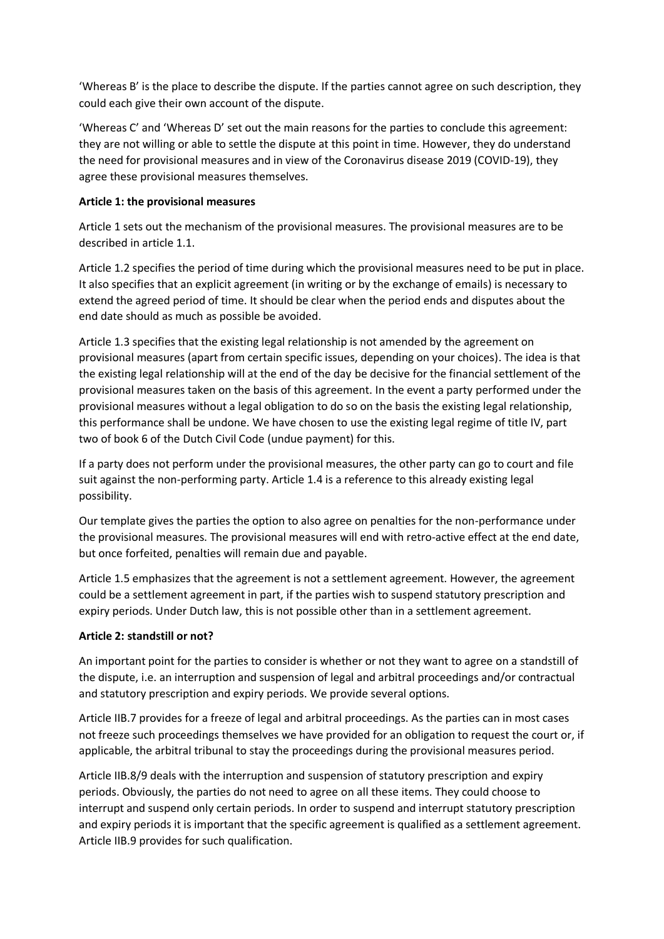'Whereas B' is the place to describe the dispute. If the parties cannot agree on such description, they could each give their own account of the dispute.

'Whereas C' and 'Whereas D' set out the main reasons for the parties to conclude this agreement: they are not willing or able to settle the dispute at this point in time. However, they do understand the need for provisional measures and in view of the Coronavirus disease 2019 (COVID-19), they agree these provisional measures themselves.

## **Article 1: the provisional measures**

Article 1 sets out the mechanism of the provisional measures. The provisional measures are to be described in article 1.1.

Article 1.2 specifies the period of time during which the provisional measures need to be put in place. It also specifies that an explicit agreement (in writing or by the exchange of emails) is necessary to extend the agreed period of time. It should be clear when the period ends and disputes about the end date should as much as possible be avoided.

Article 1.3 specifies that the existing legal relationship is not amended by the agreement on provisional measures (apart from certain specific issues, depending on your choices). The idea is that the existing legal relationship will at the end of the day be decisive for the financial settlement of the provisional measures taken on the basis of this agreement. In the event a party performed under the provisional measures without a legal obligation to do so on the basis the existing legal relationship, this performance shall be undone. We have chosen to use the existing legal regime of title IV, part two of book 6 of the Dutch Civil Code (undue payment) for this.

If a party does not perform under the provisional measures, the other party can go to court and file suit against the non-performing party. Article 1.4 is a reference to this already existing legal possibility.

Our template gives the parties the option to also agree on penalties for the non-performance under the provisional measures. The provisional measures will end with retro-active effect at the end date, but once forfeited, penalties will remain due and payable.

Article 1.5 emphasizes that the agreement is not a settlement agreement. However, the agreement could be a settlement agreement in part, if the parties wish to suspend statutory prescription and expiry periods. Under Dutch law, this is not possible other than in a settlement agreement.

# **Article 2: standstill or not?**

An important point for the parties to consider is whether or not they want to agree on a standstill of the dispute, i.e. an interruption and suspension of legal and arbitral proceedings and/or contractual and statutory prescription and expiry periods. We provide several options.

Article IIB.7 provides for a freeze of legal and arbitral proceedings. As the parties can in most cases not freeze such proceedings themselves we have provided for an obligation to request the court or, if applicable, the arbitral tribunal to stay the proceedings during the provisional measures period.

Article IIB.8/9 deals with the interruption and suspension of statutory prescription and expiry periods. Obviously, the parties do not need to agree on all these items. They could choose to interrupt and suspend only certain periods. In order to suspend and interrupt statutory prescription and expiry periods it is important that the specific agreement is qualified as a settlement agreement. Article IIB.9 provides for such qualification.